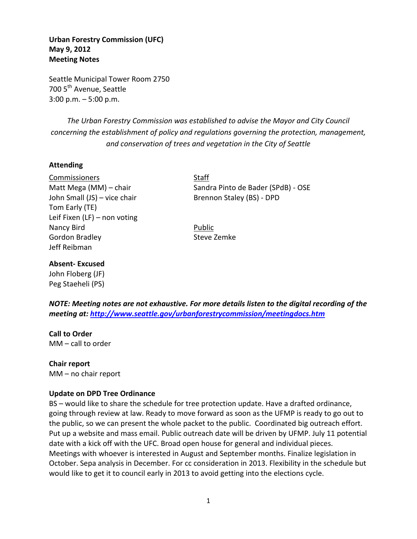**Urban Forestry Commission (UFC) May 9, 2012 Meeting Notes** 

Seattle Municipal Tower Room 2750 700 5<sup>th</sup> Avenue, Seattle 3:00 p.m. – 5:00 p.m.

*The Urban Forestry Commission was established to advise the Mayor and City Council concerning the establishment of policy and regulations governing the protection, management, and conservation of trees and vegetation in the City of Seattle*

### **Attending**

Commissioners Staff John Small (JS) – vice chair Brennon Staley (BS) - DPD Tom Early (TE) Leif Fixen (LF) – non voting Nancy Bird Public Public Gordon Bradley **Steve Zemke** Jeff Reibman

Matt Mega (MM) – chair Sandra Pinto de Bader (SPdB) - OSE

### **Absent- Excused**

John Floberg (JF) Peg Staeheli (PS)

*NOTE: Meeting notes are not exhaustive. For more details listen to the digital recording of the meeting at:<http://www.seattle.gov/urbanforestrycommission/meetingdocs.htm>*

**Call to Order** MM – call to order

**Chair report** MM – no chair report

#### **Update on DPD Tree Ordinance**

BS – would like to share the schedule for tree protection update. Have a drafted ordinance, going through review at law. Ready to move forward as soon as the UFMP is ready to go out to the public, so we can present the whole packet to the public. Coordinated big outreach effort. Put up a website and mass email. Public outreach date will be driven by UFMP. July 11 potential date with a kick off with the UFC. Broad open house for general and individual pieces. Meetings with whoever is interested in August and September months. Finalize legislation in October. Sepa analysis in December. For cc consideration in 2013. Flexibility in the schedule but would like to get it to council early in 2013 to avoid getting into the elections cycle.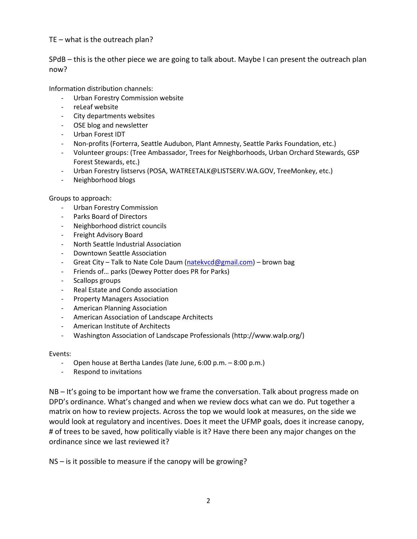# TE – what is the outreach plan?

SPdB – this is the other piece we are going to talk about. Maybe I can present the outreach plan now?

Information distribution channels:

- Urban Forestry Commission website
- reLeaf website
- City departments websites
- OSE blog and newsletter
- Urban Forest IDT
- Non-profits (Forterra, Seattle Audubon, Plant Amnesty, Seattle Parks Foundation, etc.)
- Volunteer groups: (Tree Ambassador, Trees for Neighborhoods, Urban Orchard Stewards, GSP Forest Stewards, etc.)
- Urban Forestry listservs (POSA, WATREETALK@LISTSERV.WA.GOV, TreeMonkey, etc.)
- Neighborhood blogs

Groups to approach:

- Urban Forestry Commission
- Parks Board of Directors
- Neighborhood district councils
- Freight Advisory Board
- North Seattle Industrial Association
- Downtown Seattle Association
- Great City Talk to Nate Cole Daum [\(natekvcd@gmail.com\)](mailto:natekvcd@gmail.com) brown bag
- Friends of… parks (Dewey Potter does PR for Parks)
- Scallops groups
- Real Estate and Condo association
- Property Managers Association
- American Planning Association
- American Association of Landscape Architects
- American Institute of Architects
- Washington Association of Landscape Professionals (http://www.walp.org/)

Events:

- Open house at Bertha Landes (late June, 6:00 p.m. 8:00 p.m.)
- Respond to invitations

NB – It's going to be important how we frame the conversation. Talk about progress made on DPD's ordinance. What's changed and when we review docs what can we do. Put together a matrix on how to review projects. Across the top we would look at measures, on the side we would look at regulatory and incentives. Does it meet the UFMP goals, does it increase canopy, # of trees to be saved, how politically viable is it? Have there been any major changes on the ordinance since we last reviewed it?

NS – is it possible to measure if the canopy will be growing?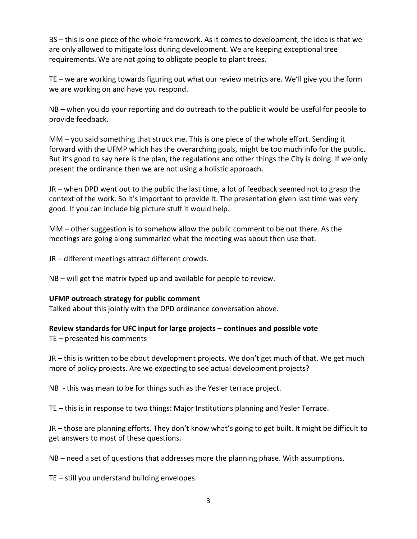BS – this is one piece of the whole framework. As it comes to development, the idea is that we are only allowed to mitigate loss during development. We are keeping exceptional tree requirements. We are not going to obligate people to plant trees.

TE – we are working towards figuring out what our review metrics are. We'll give you the form we are working on and have you respond.

NB – when you do your reporting and do outreach to the public it would be useful for people to provide feedback.

MM – you said something that struck me. This is one piece of the whole effort. Sending it forward with the UFMP which has the overarching goals, might be too much info for the public. But it's good to say here is the plan, the regulations and other things the City is doing. If we only present the ordinance then we are not using a holistic approach.

JR – when DPD went out to the public the last time, a lot of feedback seemed not to grasp the context of the work. So it's important to provide it. The presentation given last time was very good. If you can include big picture stuff it would help.

MM – other suggestion is to somehow allow the public comment to be out there. As the meetings are going along summarize what the meeting was about then use that.

JR – different meetings attract different crowds.

NB – will get the matrix typed up and available for people to review.

## **UFMP outreach strategy for public comment**

Talked about this jointly with the DPD ordinance conversation above.

# **Review standards for UFC input for large projects – continues and possible vote**

TE – presented his comments

JR – this is written to be about development projects. We don't get much of that. We get much more of policy projects. Are we expecting to see actual development projects?

NB - this was mean to be for things such as the Yesler terrace project.

TE – this is in response to two things: Major Institutions planning and Yesler Terrace.

JR – those are planning efforts. They don't know what's going to get built. It might be difficult to get answers to most of these questions.

NB – need a set of questions that addresses more the planning phase. With assumptions.

TE – still you understand building envelopes.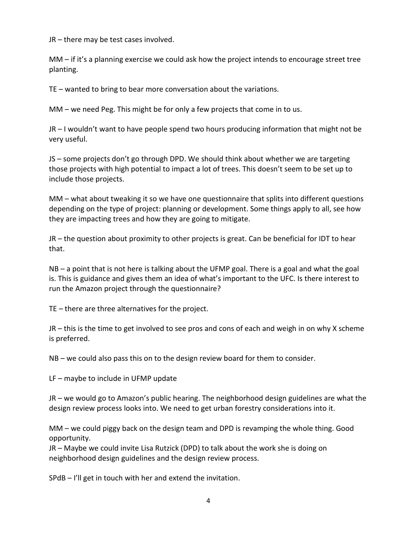JR – there may be test cases involved.

MM – if it's a planning exercise we could ask how the project intends to encourage street tree planting.

TE – wanted to bring to bear more conversation about the variations.

MM – we need Peg. This might be for only a few projects that come in to us.

JR – I wouldn't want to have people spend two hours producing information that might not be very useful.

JS – some projects don't go through DPD. We should think about whether we are targeting those projects with high potential to impact a lot of trees. This doesn't seem to be set up to include those projects.

MM – what about tweaking it so we have one questionnaire that splits into different questions depending on the type of project: planning or development. Some things apply to all, see how they are impacting trees and how they are going to mitigate.

JR – the question about proximity to other projects is great. Can be beneficial for IDT to hear that.

NB – a point that is not here is talking about the UFMP goal. There is a goal and what the goal is. This is guidance and gives them an idea of what's important to the UFC. Is there interest to run the Amazon project through the questionnaire?

TE – there are three alternatives for the project.

JR – this is the time to get involved to see pros and cons of each and weigh in on why X scheme is preferred.

NB – we could also pass this on to the design review board for them to consider.

LF – maybe to include in UFMP update

JR – we would go to Amazon's public hearing. The neighborhood design guidelines are what the design review process looks into. We need to get urban forestry considerations into it.

MM – we could piggy back on the design team and DPD is revamping the whole thing. Good opportunity.

JR – Maybe we could invite Lisa Rutzick (DPD) to talk about the work she is doing on neighborhood design guidelines and the design review process.

SPdB – I'll get in touch with her and extend the invitation.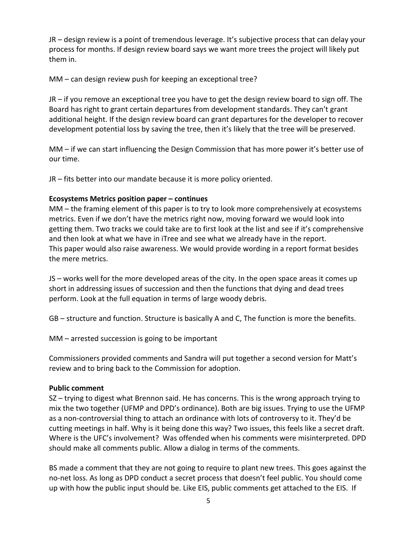JR – design review is a point of tremendous leverage. It's subjective process that can delay your process for months. If design review board says we want more trees the project will likely put them in.

MM – can design review push for keeping an exceptional tree?

JR – if you remove an exceptional tree you have to get the design review board to sign off. The Board has right to grant certain departures from development standards. They can't grant additional height. If the design review board can grant departures for the developer to recover development potential loss by saving the tree, then it's likely that the tree will be preserved.

MM – if we can start influencing the Design Commission that has more power it's better use of our time.

JR – fits better into our mandate because it is more policy oriented.

# **Ecosystems Metrics position paper – continues**

MM – the framing element of this paper is to try to look more comprehensively at ecosystems metrics. Even if we don't have the metrics right now, moving forward we would look into getting them. Two tracks we could take are to first look at the list and see if it's comprehensive and then look at what we have in iTree and see what we already have in the report. This paper would also raise awareness. We would provide wording in a report format besides the mere metrics.

JS – works well for the more developed areas of the city. In the open space areas it comes up short in addressing issues of succession and then the functions that dying and dead trees perform. Look at the full equation in terms of large woody debris.

GB – structure and function. Structure is basically A and C, The function is more the benefits.

MM – arrested succession is going to be important

Commissioners provided comments and Sandra will put together a second version for Matt's review and to bring back to the Commission for adoption.

## **Public comment**

SZ – trying to digest what Brennon said. He has concerns. This is the wrong approach trying to mix the two together (UFMP and DPD's ordinance). Both are big issues. Trying to use the UFMP as a non-controversial thing to attach an ordinance with lots of controversy to it. They'd be cutting meetings in half. Why is it being done this way? Two issues, this feels like a secret draft. Where is the UFC's involvement? Was offended when his comments were misinterpreted. DPD should make all comments public. Allow a dialog in terms of the comments.

BS made a comment that they are not going to require to plant new trees. This goes against the no-net loss. As long as DPD conduct a secret process that doesn't feel public. You should come up with how the public input should be. Like EIS, public comments get attached to the EIS. If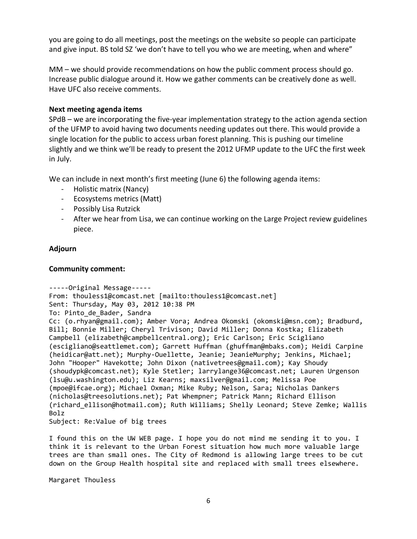you are going to do all meetings, post the meetings on the website so people can participate and give input. BS told SZ 'we don't have to tell you who we are meeting, when and where"

MM – we should provide recommendations on how the public comment process should go. Increase public dialogue around it. How we gather comments can be creatively done as well. Have UFC also receive comments.

### **Next meeting agenda items**

SPdB – we are incorporating the five-year implementation strategy to the action agenda section of the UFMP to avoid having two documents needing updates out there. This would provide a single location for the public to access urban forest planning. This is pushing our timeline slightly and we think we'll be ready to present the 2012 UFMP update to the UFC the first week in July.

We can include in next month's first meeting (June 6) the following agenda items:

- Holistic matrix (Nancy)
- Ecosystems metrics (Matt)
- Possibly Lisa Rutzick
- After we hear from Lisa, we can continue working on the Large Project review guidelines piece.

#### **Adjourn**

#### **Community comment:**

```
-----Original Message-----
From: thouless1@comcast.net [mailto:thouless1@comcast.net] 
Sent: Thursday, May 03, 2012 10:38 PM
To: Pinto_de_Bader, Sandra
Cc: (o.rhyan@gmail.com); Amber Vora; Andrea Okomski (okomski@msn.com); Bradburd, 
Bill; Bonnie Miller; Cheryl Trivison; David Miller; Donna Kostka; Elizabeth 
Campbell (elizabeth@campbellcentral.org); Eric Carlson; Eric Scigliano 
(escigliano@seattlemet.com); Garrett Huffman (ghuffman@mbaks.com); Heidi Carpine 
(heidicar@att.net); Murphy-Ouellette, Jeanie; JeanieMurphy; Jenkins, Michael;
John "Hooper" Havekotte; John Dixon (nativetrees@gmail.com); Kay Shoudy 
(shoudypk@comcast.net); Kyle Stetler; larrylange36@comcast.net; Lauren Urgenson 
(lsu@u.washington.edu); Liz Kearns; maxsilver@gmail.com; Melissa Poe 
(mpoe@ifcae.org); Michael Oxman; Mike Ruby; Nelson, Sara; Nicholas Dankers 
(nicholas@treesolutions.net); Pat Whempner; Patrick Mann; Richard Ellison 
(richard_ellison@hotmail.com); Ruth Williams; Shelly Leonard; Steve Zemke; Wallis 
Bolz
Subject: Re:Value of big trees
```
I found this on the UW WEB page. I hope you do not mind me sending it to you. I think it is relevant to the Urban Forest situation how much more valuable large trees are than small ones. The City of Redmond is allowing large trees to be cut down on the Group Health hospital site and replaced with small trees elsewhere.

Margaret Thouless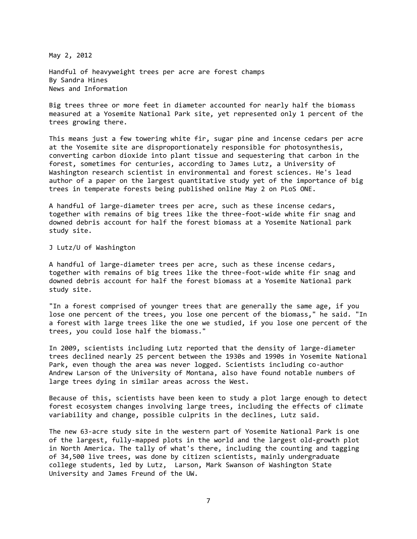May 2, 2012

Handful of heavyweight trees per acre are forest champs By Sandra Hines News and Information

Big trees three or more feet in diameter accounted for nearly half the biomass measured at a Yosemite National Park site, yet represented only 1 percent of the trees growing there.

This means just a few towering white fir, sugar pine and incense cedars per acre at the Yosemite site are disproportionately responsible for photosynthesis, converting carbon dioxide into plant tissue and sequestering that carbon in the forest, sometimes for centuries, according to James Lutz, a University of Washington research scientist in environmental and forest sciences. He's lead author of a paper on the largest quantitative study yet of the importance of big trees in temperate forests being published online May 2 on PLoS ONE.

A handful of large-diameter trees per acre, such as these incense cedars, together with remains of big trees like the three-foot-wide white fir snag and downed debris account for half the forest biomass at a Yosemite National park study site.

J Lutz/U of Washington

A handful of large-diameter trees per acre, such as these incense cedars, together with remains of big trees like the three-foot-wide white fir snag and downed debris account for half the forest biomass at a Yosemite National park study site.

"In a forest comprised of younger trees that are generally the same age, if you lose one percent of the trees, you lose one percent of the biomass," he said. "In a forest with large trees like the one we studied, if you lose one percent of the trees, you could lose half the biomass."

In 2009, scientists including Lutz reported that the density of large-diameter trees declined nearly 25 percent between the 1930s and 1990s in Yosemite National Park, even though the area was never logged. Scientists including co-author Andrew Larson of the University of Montana, also have found notable numbers of large trees dying in similar areas across the West.

Because of this, scientists have been keen to study a plot large enough to detect forest ecosystem changes involving large trees, including the effects of climate variability and change, possible culprits in the declines, Lutz said.

The new 63-acre study site in the western part of Yosemite National Park is one of the largest, fully-mapped plots in the world and the largest old-growth plot in North America. The tally of what's there, including the counting and tagging of 34,500 live trees, was done by citizen scientists, mainly undergraduate college students, led by Lutz, Larson, Mark Swanson of Washington State University and James Freund of the UW.